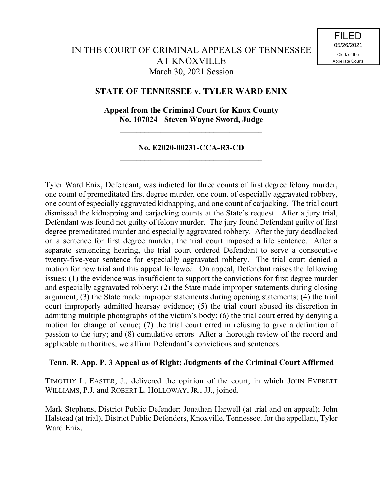# **STATE OF TENNESSEE v. TYLER WARD ENIX**

# **Appeal from the Criminal Court for Knox County No. 107024 Steven Wayne Sword, Judge**

**\_\_\_\_\_\_\_\_\_\_\_\_\_\_\_\_\_\_\_\_\_\_\_\_\_\_\_\_\_\_\_\_\_\_\_**

# **No. E2020-00231-CCA-R3-CD \_\_\_\_\_\_\_\_\_\_\_\_\_\_\_\_\_\_\_\_\_\_\_\_\_\_\_\_\_\_\_\_\_\_\_**

Tyler Ward Enix, Defendant, was indicted for three counts of first degree felony murder, one count of premeditated first degree murder, one count of especially aggravated robbery, one count of especially aggravated kidnapping, and one count of carjacking. The trial court dismissed the kidnapping and carjacking counts at the State's request. After a jury trial, Defendant was found not guilty of felony murder. The jury found Defendant guilty of first degree premeditated murder and especially aggravated robbery. After the jury deadlocked on a sentence for first degree murder, the trial court imposed a life sentence. After a separate sentencing hearing, the trial court ordered Defendant to serve a consecutive twenty-five-year sentence for especially aggravated robbery. The trial court denied a motion for new trial and this appeal followed. On appeal, Defendant raises the following issues: (1) the evidence was insufficient to support the convictions for first degree murder and especially aggravated robbery; (2) the State made improper statements during closing argument; (3) the State made improper statements during opening statements; (4) the trial court improperly admitted hearsay evidence; (5) the trial court abused its discretion in admitting multiple photographs of the victim's body; (6) the trial court erred by denying a motion for change of venue; (7) the trial court erred in refusing to give a definition of passion to the jury; and (8) cumulative errors After a thorough review of the record and applicable authorities, we affirm Defendant's convictions and sentences.

## **Tenn. R. App. P. 3 Appeal as of Right; Judgments of the Criminal Court Affirmed**

TIMOTHY L. EASTER, J., delivered the opinion of the court, in which JOHN EVERETT WILLIAMS, P.J. and ROBERT L. HOLLOWAY, JR., JJ., joined.

Mark Stephens, District Public Defender; Jonathan Harwell (at trial and on appeal); John Halstead (at trial), District Public Defenders, Knoxville, Tennessee, for the appellant, Tyler Ward Enix.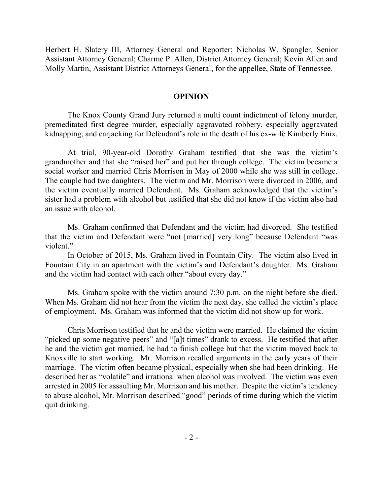Herbert H. Slatery III, Attorney General and Reporter; Nicholas W. Spangler, Senior Assistant Attorney General; Charme P. Allen, District Attorney General; Kevin Allen and Molly Martin, Assistant District Attorneys General, for the appellee, State of Tennessee.

#### **OPINION**

The Knox County Grand Jury returned a multi count indictment of felony murder, premeditated first degree murder, especially aggravated robbery, especially aggravated kidnapping, and carjacking for Defendant's role in the death of his ex-wife Kimberly Enix.

At trial, 90-year-old Dorothy Graham testified that she was the victim's grandmother and that she "raised her" and put her through college. The victim became a social worker and married Chris Morrison in May of 2000 while she was still in college. The couple had two daughters. The victim and Mr. Morrison were divorced in 2006, and the victim eventually married Defendant. Ms. Graham acknowledged that the victim's sister had a problem with alcohol but testified that she did not know if the victim also had an issue with alcohol.

Ms. Graham confirmed that Defendant and the victim had divorced. She testified that the victim and Defendant were "not [married] very long" because Defendant "was violent."

In October of 2015, Ms. Graham lived in Fountain City. The victim also lived in Fountain City in an apartment with the victim's and Defendant's daughter. Ms. Graham and the victim had contact with each other "about every day."

Ms. Graham spoke with the victim around 7:30 p.m. on the night before she died. When Ms. Graham did not hear from the victim the next day, she called the victim's place of employment. Ms. Graham was informed that the victim did not show up for work.

Chris Morrison testified that he and the victim were married. He claimed the victim "picked up some negative peers" and "[a]t times" drank to excess. He testified that after he and the victim got married, he had to finish college but that the victim moved back to Knoxville to start working. Mr. Morrison recalled arguments in the early years of their marriage. The victim often became physical, especially when she had been drinking. He described her as "volatile" and irrational when alcohol was involved. The victim was even arrested in 2005 for assaulting Mr. Morrison and his mother. Despite the victim's tendency to abuse alcohol, Mr. Morrison described "good" periods of time during which the victim quit drinking.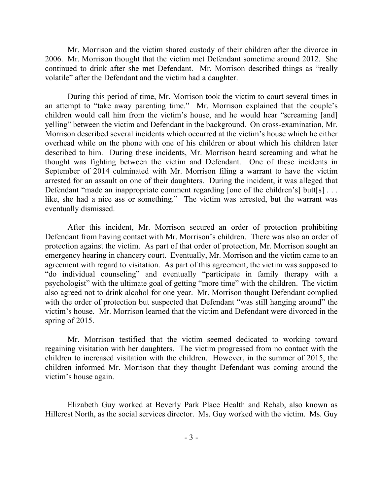Mr. Morrison and the victim shared custody of their children after the divorce in 2006. Mr. Morrison thought that the victim met Defendant sometime around 2012. She continued to drink after she met Defendant. Mr. Morrison described things as "really volatile" after the Defendant and the victim had a daughter.

During this period of time, Mr. Morrison took the victim to court several times in an attempt to "take away parenting time." Mr. Morrison explained that the couple's children would call him from the victim's house, and he would hear "screaming [and] yelling" between the victim and Defendant in the background. On cross-examination, Mr. Morrison described several incidents which occurred at the victim's house which he either overhead while on the phone with one of his children or about which his children later described to him. During these incidents, Mr. Morrison heard screaming and what he thought was fighting between the victim and Defendant. One of these incidents in September of 2014 culminated with Mr. Morrison filing a warrant to have the victim arrested for an assault on one of their daughters. During the incident, it was alleged that Defendant "made an inappropriate comment regarding [one of the children's] butt[s] ... like, she had a nice ass or something." The victim was arrested, but the warrant was eventually dismissed.

After this incident, Mr. Morrison secured an order of protection prohibiting Defendant from having contact with Mr. Morrison's children. There was also an order of protection against the victim. As part of that order of protection, Mr. Morrison sought an emergency hearing in chancery court. Eventually, Mr. Morrison and the victim came to an agreement with regard to visitation. As part of this agreement, the victim was supposed to "do individual counseling" and eventually "participate in family therapy with a psychologist" with the ultimate goal of getting "more time" with the children. The victim also agreed not to drink alcohol for one year. Mr. Morrison thought Defendant complied with the order of protection but suspected that Defendant "was still hanging around" the victim's house. Mr. Morrison learned that the victim and Defendant were divorced in the spring of 2015.

Mr. Morrison testified that the victim seemed dedicated to working toward regaining visitation with her daughters. The victim progressed from no contact with the children to increased visitation with the children. However, in the summer of 2015, the children informed Mr. Morrison that they thought Defendant was coming around the victim's house again.

Elizabeth Guy worked at Beverly Park Place Health and Rehab, also known as Hillcrest North, as the social services director. Ms. Guy worked with the victim. Ms. Guy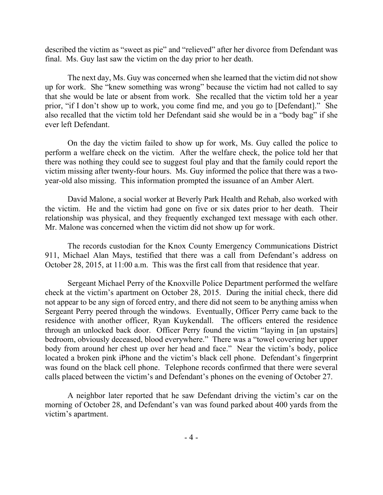described the victim as "sweet as pie" and "relieved" after her divorce from Defendant was final. Ms. Guy last saw the victim on the day prior to her death.

The next day, Ms. Guy was concerned when she learned that the victim did not show up for work. She "knew something was wrong" because the victim had not called to say that she would be late or absent from work. She recalled that the victim told her a year prior, "if I don't show up to work, you come find me, and you go to [Defendant]." She also recalled that the victim told her Defendant said she would be in a "body bag" if she ever left Defendant.

On the day the victim failed to show up for work, Ms. Guy called the police to perform a welfare check on the victim. After the welfare check, the police told her that there was nothing they could see to suggest foul play and that the family could report the victim missing after twenty-four hours. Ms. Guy informed the police that there was a twoyear-old also missing. This information prompted the issuance of an Amber Alert.

David Malone, a social worker at Beverly Park Health and Rehab, also worked with the victim. He and the victim had gone on five or six dates prior to her death. Their relationship was physical, and they frequently exchanged text message with each other. Mr. Malone was concerned when the victim did not show up for work.

The records custodian for the Knox County Emergency Communications District 911, Michael Alan Mays, testified that there was a call from Defendant's address on October 28, 2015, at 11:00 a.m. This was the first call from that residence that year.

Sergeant Michael Perry of the Knoxville Police Department performed the welfare check at the victim's apartment on October 28, 2015. During the initial check, there did not appear to be any sign of forced entry, and there did not seem to be anything amiss when Sergeant Perry peered through the windows. Eventually, Officer Perry came back to the residence with another officer, Ryan Kuykendall. The officers entered the residence through an unlocked back door. Officer Perry found the victim "laying in [an upstairs] bedroom, obviously deceased, blood everywhere." There was a "towel covering her upper body from around her chest up over her head and face." Near the victim's body, police located a broken pink iPhone and the victim's black cell phone. Defendant's fingerprint was found on the black cell phone. Telephone records confirmed that there were several calls placed between the victim's and Defendant's phones on the evening of October 27.

A neighbor later reported that he saw Defendant driving the victim's car on the morning of October 28, and Defendant's van was found parked about 400 yards from the victim's apartment.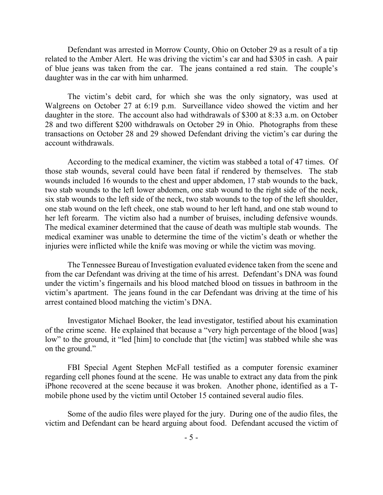Defendant was arrested in Morrow County, Ohio on October 29 as a result of a tip related to the Amber Alert. He was driving the victim's car and had \$305 in cash. A pair of blue jeans was taken from the car. The jeans contained a red stain. The couple's daughter was in the car with him unharmed.

The victim's debit card, for which she was the only signatory, was used at Walgreens on October 27 at 6:19 p.m. Surveillance video showed the victim and her daughter in the store. The account also had withdrawals of \$300 at 8:33 a.m. on October 28 and two different \$200 withdrawals on October 29 in Ohio. Photographs from these transactions on October 28 and 29 showed Defendant driving the victim's car during the account withdrawals.

According to the medical examiner, the victim was stabbed a total of 47 times. Of those stab wounds, several could have been fatal if rendered by themselves. The stab wounds included 16 wounds to the chest and upper abdomen, 17 stab wounds to the back, two stab wounds to the left lower abdomen, one stab wound to the right side of the neck, six stab wounds to the left side of the neck, two stab wounds to the top of the left shoulder, one stab wound on the left cheek, one stab wound to her left hand, and one stab wound to her left forearm. The victim also had a number of bruises, including defensive wounds. The medical examiner determined that the cause of death was multiple stab wounds. The medical examiner was unable to determine the time of the victim's death or whether the injuries were inflicted while the knife was moving or while the victim was moving.

The Tennessee Bureau of Investigation evaluated evidence taken from the scene and from the car Defendant was driving at the time of his arrest. Defendant's DNA was found under the victim's fingernails and his blood matched blood on tissues in bathroom in the victim's apartment. The jeans found in the car Defendant was driving at the time of his arrest contained blood matching the victim's DNA.

Investigator Michael Booker, the lead investigator, testified about his examination of the crime scene. He explained that because a "very high percentage of the blood [was] low" to the ground, it "led [him] to conclude that [the victim] was stabbed while she was on the ground."

FBI Special Agent Stephen McFall testified as a computer forensic examiner regarding cell phones found at the scene. He was unable to extract any data from the pink iPhone recovered at the scene because it was broken. Another phone, identified as a Tmobile phone used by the victim until October 15 contained several audio files.

Some of the audio files were played for the jury. During one of the audio files, the victim and Defendant can be heard arguing about food. Defendant accused the victim of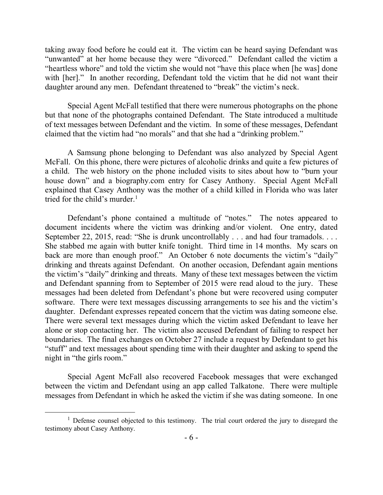taking away food before he could eat it. The victim can be heard saying Defendant was "unwanted" at her home because they were "divorced." Defendant called the victim a "heartless whore" and told the victim she would not "have this place when [he was] done with [her]." In another recording, Defendant told the victim that he did not want their daughter around any men. Defendant threatened to "break" the victim's neck.

Special Agent McFall testified that there were numerous photographs on the phone but that none of the photographs contained Defendant. The State introduced a multitude of text messages between Defendant and the victim. In some of these messages, Defendant claimed that the victim had "no morals" and that she had a "drinking problem."

A Samsung phone belonging to Defendant was also analyzed by Special Agent McFall. On this phone, there were pictures of alcoholic drinks and quite a few pictures of a child. The web history on the phone included visits to sites about how to "burn your house down" and a biography.com entry for Casey Anthony. Special Agent McFall explained that Casey Anthony was the mother of a child killed in Florida who was later tried for the child's murder. 1

Defendant's phone contained a multitude of "notes." The notes appeared to document incidents where the victim was drinking and/or violent. One entry, dated September 22, 2015, read: "She is drunk uncontrollably . . . and had four tramadols. . . . She stabbed me again with butter knife tonight. Third time in 14 months. My scars on back are more than enough proof." An October 6 note documents the victim's "daily" drinking and threats against Defendant. On another occasion, Defendant again mentions the victim's "daily" drinking and threats. Many of these text messages between the victim and Defendant spanning from to September of 2015 were read aloud to the jury. These messages had been deleted from Defendant's phone but were recovered using computer software. There were text messages discussing arrangements to see his and the victim's daughter. Defendant expresses repeated concern that the victim was dating someone else. There were several text messages during which the victim asked Defendant to leave her alone or stop contacting her. The victim also accused Defendant of failing to respect her boundaries. The final exchanges on October 27 include a request by Defendant to get his "stuff" and text messages about spending time with their daughter and asking to spend the night in "the girls room."

Special Agent McFall also recovered Facebook messages that were exchanged between the victim and Defendant using an app called Talkatone. There were multiple messages from Defendant in which he asked the victim if she was dating someone. In one

 $\overline{a}$ 

<sup>&</sup>lt;sup>1</sup> Defense counsel objected to this testimony. The trial court ordered the jury to disregard the testimony about Casey Anthony.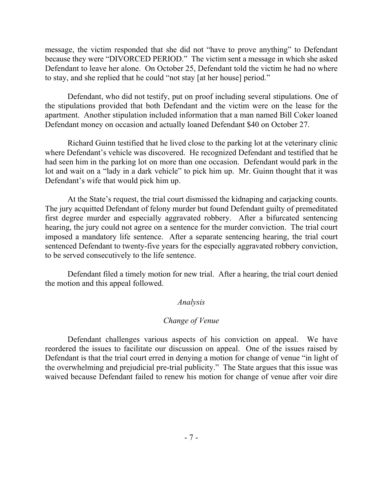message, the victim responded that she did not "have to prove anything" to Defendant because they were "DIVORCED PERIOD." The victim sent a message in which she asked Defendant to leave her alone. On October 25, Defendant told the victim he had no where to stay, and she replied that he could "not stay [at her house] period."

Defendant, who did not testify, put on proof including several stipulations. One of the stipulations provided that both Defendant and the victim were on the lease for the apartment. Another stipulation included information that a man named Bill Coker loaned Defendant money on occasion and actually loaned Defendant \$40 on October 27.

Richard Guinn testified that he lived close to the parking lot at the veterinary clinic where Defendant's vehicle was discovered. He recognized Defendant and testified that he had seen him in the parking lot on more than one occasion. Defendant would park in the lot and wait on a "lady in a dark vehicle" to pick him up. Mr. Guinn thought that it was Defendant's wife that would pick him up.

At the State's request, the trial court dismissed the kidnaping and carjacking counts. The jury acquitted Defendant of felony murder but found Defendant guilty of premeditated first degree murder and especially aggravated robbery. After a bifurcated sentencing hearing, the jury could not agree on a sentence for the murder conviction. The trial court imposed a mandatory life sentence. After a separate sentencing hearing, the trial court sentenced Defendant to twenty-five years for the especially aggravated robbery conviction, to be served consecutively to the life sentence.

Defendant filed a timely motion for new trial. After a hearing, the trial court denied the motion and this appeal followed.

## *Analysis*

## *Change of Venue*

Defendant challenges various aspects of his conviction on appeal. We have reordered the issues to facilitate our discussion on appeal. One of the issues raised by Defendant is that the trial court erred in denying a motion for change of venue "in light of the overwhelming and prejudicial pre-trial publicity." The State argues that this issue was waived because Defendant failed to renew his motion for change of venue after voir dire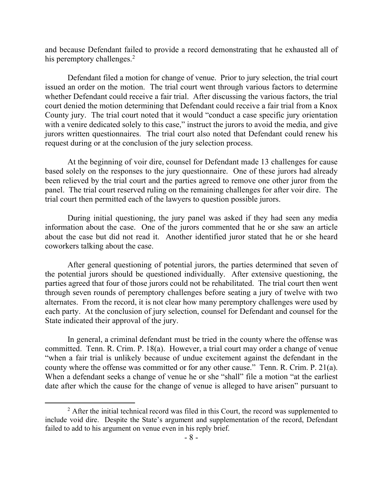and because Defendant failed to provide a record demonstrating that he exhausted all of his peremptory challenges.<sup>2</sup>

Defendant filed a motion for change of venue. Prior to jury selection, the trial court issued an order on the motion. The trial court went through various factors to determine whether Defendant could receive a fair trial. After discussing the various factors, the trial court denied the motion determining that Defendant could receive a fair trial from a Knox County jury. The trial court noted that it would "conduct a case specific jury orientation with a venire dedicated solely to this case," instruct the jurors to avoid the media, and give jurors written questionnaires. The trial court also noted that Defendant could renew his request during or at the conclusion of the jury selection process.

At the beginning of voir dire, counsel for Defendant made 13 challenges for cause based solely on the responses to the jury questionnaire. One of these jurors had already been relieved by the trial court and the parties agreed to remove one other juror from the panel. The trial court reserved ruling on the remaining challenges for after voir dire. The trial court then permitted each of the lawyers to question possible jurors.

During initial questioning, the jury panel was asked if they had seen any media information about the case. One of the jurors commented that he or she saw an article about the case but did not read it. Another identified juror stated that he or she heard coworkers talking about the case.

After general questioning of potential jurors, the parties determined that seven of the potential jurors should be questioned individually. After extensive questioning, the parties agreed that four of those jurors could not be rehabilitated. The trial court then went through seven rounds of peremptory challenges before seating a jury of twelve with two alternates. From the record, it is not clear how many peremptory challenges were used by each party. At the conclusion of jury selection, counsel for Defendant and counsel for the State indicated their approval of the jury.

In general, a criminal defendant must be tried in the county where the offense was committed. Tenn. R. Crim. P. 18(a). However, a trial court may order a change of venue "when a fair trial is unlikely because of undue excitement against the defendant in the county where the offense was committed or for any other cause." Tenn. R. Crim. P. 21(a). When a defendant seeks a change of venue he or she "shall" file a motion "at the earliest date after which the cause for the change of venue is alleged to have arisen" pursuant to

 $2$  After the initial technical record was filed in this Court, the record was supplemented to include void dire. Despite the State's argument and supplementation of the record, Defendant failed to add to his argument on venue even in his reply brief.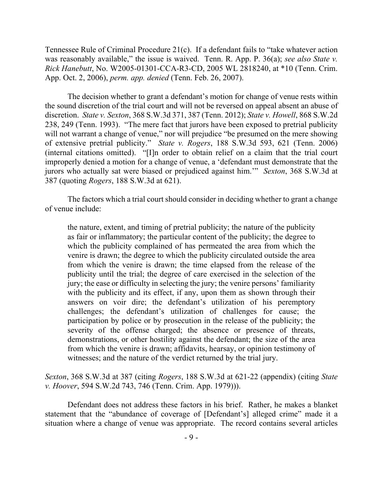Tennessee Rule of Criminal Procedure 21(c). If a defendant fails to "take whatever action was reasonably available," the issue is waived. Tenn. R. App. P. 36(a); *see also State v. Rick Hanebutt*, No. W2005-01301-CCA-R3-CD, 2005 WL 2818240, at \*10 (Tenn. Crim. App. Oct. 2, 2006), *perm. app. denied* (Tenn. Feb. 26, 2007).

The decision whether to grant a defendant's motion for change of venue rests within the sound discretion of the trial court and will not be reversed on appeal absent an abuse of discretion. *State v. Sexton*, 368 S.W.3d 371, 387 (Tenn. 2012); *State v. Howell*, 868 S.W.2d 238, 249 (Tenn. 1993). "The mere fact that jurors have been exposed to pretrial publicity will not warrant a change of venue," nor will prejudice "be presumed on the mere showing of extensive pretrial publicity." *State v. Rogers*, 188 S.W.3d 593, 621 (Tenn. 2006) (internal citations omitted). "[I]n order to obtain relief on a claim that the trial court improperly denied a motion for a change of venue, a 'defendant must demonstrate that the jurors who actually sat were biased or prejudiced against him.'" *Sexton*, 368 S.W.3d at 387 (quoting *Rogers*, 188 S.W.3d at 621).

The factors which a trial court should consider in deciding whether to grant a change of venue include:

the nature, extent, and timing of pretrial publicity; the nature of the publicity as fair or inflammatory; the particular content of the publicity; the degree to which the publicity complained of has permeated the area from which the venire is drawn; the degree to which the publicity circulated outside the area from which the venire is drawn; the time elapsed from the release of the publicity until the trial; the degree of care exercised in the selection of the jury; the ease or difficulty in selecting the jury; the venire persons' familiarity with the publicity and its effect, if any, upon them as shown through their answers on voir dire; the defendant's utilization of his peremptory challenges; the defendant's utilization of challenges for cause; the participation by police or by prosecution in the release of the publicity; the severity of the offense charged; the absence or presence of threats, demonstrations, or other hostility against the defendant; the size of the area from which the venire is drawn; affidavits, hearsay, or opinion testimony of witnesses; and the nature of the verdict returned by the trial jury.

*Sexton*, 368 S.W.3d at 387 (citing *Rogers*, 188 S.W.3d at 621-22 (appendix) (citing *State v. Hoover*, 594 S.W.2d 743, 746 (Tenn. Crim. App. 1979))).

Defendant does not address these factors in his brief. Rather, he makes a blanket statement that the "abundance of coverage of [Defendant's] alleged crime" made it a situation where a change of venue was appropriate. The record contains several articles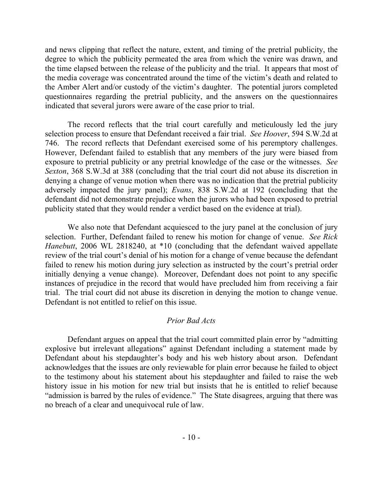and news clipping that reflect the nature, extent, and timing of the pretrial publicity, the degree to which the publicity permeated the area from which the venire was drawn, and the time elapsed between the release of the publicity and the trial. It appears that most of the media coverage was concentrated around the time of the victim's death and related to the Amber Alert and/or custody of the victim's daughter. The potential jurors completed questionnaires regarding the pretrial publicity, and the answers on the questionnaires indicated that several jurors were aware of the case prior to trial.

The record reflects that the trial court carefully and meticulously led the jury selection process to ensure that Defendant received a fair trial. *See Hoover*, 594 S.W.2d at 746. The record reflects that Defendant exercised some of his peremptory challenges. However, Defendant failed to establish that any members of the jury were biased from exposure to pretrial publicity or any pretrial knowledge of the case or the witnesses. *See Sexton*, 368 S.W.3d at 388 (concluding that the trial court did not abuse its discretion in denying a change of venue motion when there was no indication that the pretrial publicity adversely impacted the jury panel); *Evans*, 838 S.W.2d at 192 (concluding that the defendant did not demonstrate prejudice when the jurors who had been exposed to pretrial publicity stated that they would render a verdict based on the evidence at trial).

We also note that Defendant acquiesced to the jury panel at the conclusion of jury selection. Further, Defendant failed to renew his motion for change of venue. *See Rick Hanebutt*, 2006 WL 2818240, at \*10 (concluding that the defendant waived appellate review of the trial court's denial of his motion for a change of venue because the defendant failed to renew his motion during jury selection as instructed by the court's pretrial order initially denying a venue change). Moreover, Defendant does not point to any specific instances of prejudice in the record that would have precluded him from receiving a fair trial. The trial court did not abuse its discretion in denying the motion to change venue. Defendant is not entitled to relief on this issue.

## *Prior Bad Acts*

Defendant argues on appeal that the trial court committed plain error by "admitting explosive but irrelevant allegations" against Defendant including a statement made by Defendant about his stepdaughter's body and his web history about arson. Defendant acknowledges that the issues are only reviewable for plain error because he failed to object to the testimony about his statement about his stepdaughter and failed to raise the web history issue in his motion for new trial but insists that he is entitled to relief because "admission is barred by the rules of evidence." The State disagrees, arguing that there was no breach of a clear and unequivocal rule of law.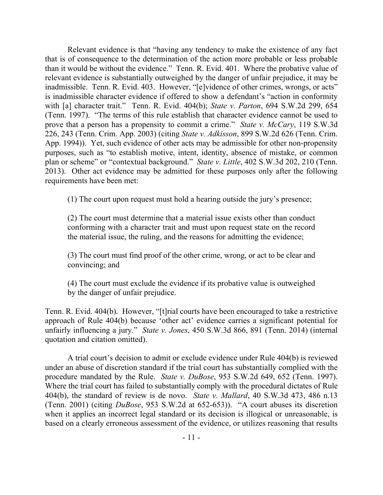Relevant evidence is that "having any tendency to make the existence of any fact that is of consequence to the determination of the action more probable or less probable than it would be without the evidence." Tenn. R. Evid. 401. Where the probative value of relevant evidence is substantially outweighed by the danger of unfair prejudice, it may be inadmissible. Tenn. R. Evid. 403. However, "[e]vidence of other crimes, wrongs, or acts" is inadmissible character evidence if offered to show a defendant's "action in conformity with [a] character trait." Tenn. R. Evid. 404(b); *State v. Parton*, 694 S.W.2d 299, 654 (Tenn. 1997). "The terms of this rule establish that character evidence cannot be used to prove that a person has a propensity to commit a crime." *State v. McCary*, 119 S.W.3d 226, 243 (Tenn. Crim. App. 2003) (citing *State v. Adkisson*, 899 S.W.2d 626 (Tenn. Crim. App. 1994)). Yet, such evidence of other acts may be admissible for other non-propensity purposes, such as "to establish motive, intent, identity, absence of mistake, or common plan or scheme" or "contextual background." *State v. Little*, 402 S.W.3d 202, 210 (Tenn. 2013). Other act evidence may be admitted for these purposes only after the following requirements have been met:

(1) The court upon request must hold a hearing outside the jury's presence;

(2) The court must determine that a material issue exists other than conduct conforming with a character trait and must upon request state on the record the material issue, the ruling, and the reasons for admitting the evidence;

(3) The court must find proof of the other crime, wrong, or act to be clear and convincing; and

(4) The court must exclude the evidence if its probative value is outweighed by the danger of unfair prejudice.

Tenn. R. Evid. 404(b). However, "[t]rial courts have been encouraged to take a restrictive approach of Rule 404(b) because 'other act' evidence carries a significant potential for unfairly influencing a jury." *State v. Jones*, 450 S.W.3d 866, 891 (Tenn. 2014) (internal quotation and citation omitted).

A trial court's decision to admit or exclude evidence under Rule 404(b) is reviewed under an abuse of discretion standard if the trial court has substantially complied with the procedure mandated by the Rule. *State v. DuBose*, 953 S.W.2d 649, 652 (Tenn. 1997). Where the trial court has failed to substantially comply with the procedural dictates of Rule 404(b), the standard of review is de novo. *State v. Mallard*, 40 S.W.3d 473, 486 n.13 (Tenn. 2001) (citing *DuBose*, 953 S.W.2d at 652-653)). "A court abuses its discretion when it applies an incorrect legal standard or its decision is illogical or unreasonable, is based on a clearly erroneous assessment of the evidence, or utilizes reasoning that results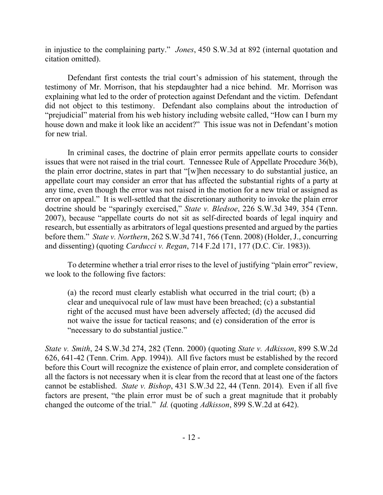in injustice to the complaining party." *Jones*, 450 S.W.3d at 892 (internal quotation and citation omitted).

Defendant first contests the trial court's admission of his statement, through the testimony of Mr. Morrison, that his stepdaughter had a nice behind. Mr. Morrison was explaining what led to the order of protection against Defendant and the victim. Defendant did not object to this testimony. Defendant also complains about the introduction of "prejudicial" material from his web history including website called, "How can I burn my house down and make it look like an accident?" This issue was not in Defendant's motion for new trial.

In criminal cases, the doctrine of plain error permits appellate courts to consider issues that were not raised in the trial court. Tennessee Rule of Appellate Procedure 36(b), the plain error doctrine, states in part that "[w]hen necessary to do substantial justice, an appellate court may consider an error that has affected the substantial rights of a party at any time, even though the error was not raised in the motion for a new trial or assigned as error on appeal." It is well-settled that the discretionary authority to invoke the plain error doctrine should be "sparingly exercised," *State v. Bledsoe*, 226 S.W.3d 349, 354 (Tenn. 2007), because "appellate courts do not sit as self-directed boards of legal inquiry and research, but essentially as arbitrators of legal questions presented and argued by the parties before them." *State v. Northern*, 262 S.W.3d 741, 766 (Tenn. 2008) (Holder, J., concurring and dissenting) (quoting *Carducci v. Regan*, 714 F.2d 171, 177 (D.C. Cir. 1983)).

To determine whether a trial error rises to the level of justifying "plain error" review, we look to the following five factors:

(a) the record must clearly establish what occurred in the trial court; (b) a clear and unequivocal rule of law must have been breached; (c) a substantial right of the accused must have been adversely affected; (d) the accused did not waive the issue for tactical reasons; and (e) consideration of the error is "necessary to do substantial justice."

*State v. Smith*, 24 S.W.3d 274, 282 (Tenn. 2000) (quoting *State v. Adkisson*, 899 S.W.2d 626, 641-42 (Tenn. Crim. App. 1994)). All five factors must be established by the record before this Court will recognize the existence of plain error, and complete consideration of all the factors is not necessary when it is clear from the record that at least one of the factors cannot be established. *State v. Bishop*, 431 S.W.3d 22, 44 (Tenn. 2014). Even if all five factors are present, "the plain error must be of such a great magnitude that it probably changed the outcome of the trial." *Id.* (quoting *Adkisson*, 899 S.W.2d at 642).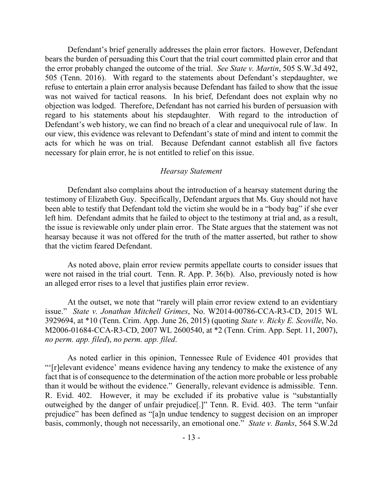Defendant's brief generally addresses the plain error factors. However, Defendant bears the burden of persuading this Court that the trial court committed plain error and that the error probably changed the outcome of the trial. *See State v. Martin*, 505 S.W.3d 492, 505 (Tenn. 2016). With regard to the statements about Defendant's stepdaughter, we refuse to entertain a plain error analysis because Defendant has failed to show that the issue was not waived for tactical reasons. In his brief, Defendant does not explain why no objection was lodged. Therefore, Defendant has not carried his burden of persuasion with regard to his statements about his stepdaughter. With regard to the introduction of Defendant's web history, we can find no breach of a clear and unequivocal rule of law. In our view, this evidence was relevant to Defendant's state of mind and intent to commit the acts for which he was on trial. Because Defendant cannot establish all five factors necessary for plain error, he is not entitled to relief on this issue.

#### *Hearsay Statement*

Defendant also complains about the introduction of a hearsay statement during the testimony of Elizabeth Guy. Specifically, Defendant argues that Ms. Guy should not have been able to testify that Defendant told the victim she would be in a "body bag" if she ever left him. Defendant admits that he failed to object to the testimony at trial and, as a result, the issue is reviewable only under plain error. The State argues that the statement was not hearsay because it was not offered for the truth of the matter asserted, but rather to show that the victim feared Defendant.

As noted above, plain error review permits appellate courts to consider issues that were not raised in the trial court. Tenn. R. App. P. 36(b). Also, previously noted is how an alleged error rises to a level that justifies plain error review.

At the outset, we note that "rarely will plain error review extend to an evidentiary issue." *State v. Jonathan Mitchell Grimes*, No. W2014-00786-CCA-R3-CD, 2015 WL 3929694, at \*10 (Tenn. Crim. App. June 26, 2015) (quoting *State v. Ricky E. Scoville*, No. M2006-01684-CCA-R3-CD, 2007 WL 2600540, at \*2 (Tenn. Crim. App. Sept. 11, 2007), *no perm. app. filed*), *no perm. app. filed*.

As noted earlier in this opinion, Tennessee Rule of Evidence 401 provides that "'[r]elevant evidence' means evidence having any tendency to make the existence of any fact that is of consequence to the determination of the action more probable or less probable than it would be without the evidence." Generally, relevant evidence is admissible. Tenn. R. Evid. 402. However, it may be excluded if its probative value is "substantially outweighed by the danger of unfair prejudice[.]" Tenn. R. Evid. 403. The term "unfair prejudice" has been defined as "[a]n undue tendency to suggest decision on an improper basis, commonly, though not necessarily, an emotional one." *State v. Banks*, 564 S.W.2d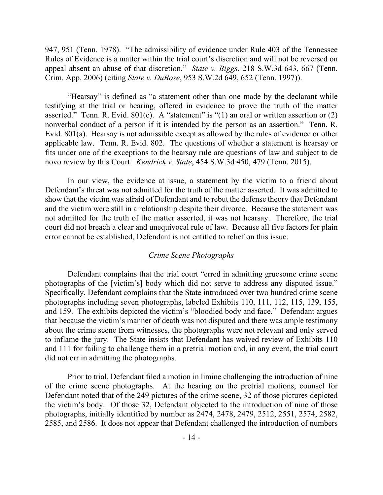947, 951 (Tenn. 1978). "The admissibility of evidence under Rule 403 of the Tennessee Rules of Evidence is a matter within the trial court's discretion and will not be reversed on appeal absent an abuse of that discretion." *State v. Biggs*, 218 S.W.3d 643, 667 (Tenn. Crim. App. 2006) (citing *State v. DuBose*, 953 S.W.2d 649, 652 (Tenn. 1997)).

"Hearsay" is defined as "a statement other than one made by the declarant while testifying at the trial or hearing, offered in evidence to prove the truth of the matter asserted." Tenn. R. Evid.  $801(c)$ . A "statement" is "(1) an oral or written assertion or (2) nonverbal conduct of a person if it is intended by the person as an assertion." Tenn. R. Evid. 801(a). Hearsay is not admissible except as allowed by the rules of evidence or other applicable law. Tenn. R. Evid. 802. The questions of whether a statement is hearsay or fits under one of the exceptions to the hearsay rule are questions of law and subject to de novo review by this Court. *Kendrick v. State*, 454 S.W.3d 450, 479 (Tenn. 2015).

In our view, the evidence at issue, a statement by the victim to a friend about Defendant's threat was not admitted for the truth of the matter asserted. It was admitted to show that the victim was afraid of Defendant and to rebut the defense theory that Defendant and the victim were still in a relationship despite their divorce. Because the statement was not admitted for the truth of the matter asserted, it was not hearsay. Therefore, the trial court did not breach a clear and unequivocal rule of law. Because all five factors for plain error cannot be established, Defendant is not entitled to relief on this issue.

### *Crime Scene Photographs*

Defendant complains that the trial court "erred in admitting gruesome crime scene photographs of the [victim's] body which did not serve to address any disputed issue." Specifically, Defendant complains that the State introduced over two hundred crime scene photographs including seven photographs, labeled Exhibits 110, 111, 112, 115, 139, 155, and 159. The exhibits depicted the victim's "bloodied body and face." Defendant argues that because the victim's manner of death was not disputed and there was ample testimony about the crime scene from witnesses, the photographs were not relevant and only served to inflame the jury. The State insists that Defendant has waived review of Exhibits 110 and 111 for failing to challenge them in a pretrial motion and, in any event, the trial court did not err in admitting the photographs.

Prior to trial, Defendant filed a motion in limine challenging the introduction of nine of the crime scene photographs. At the hearing on the pretrial motions, counsel for Defendant noted that of the 249 pictures of the crime scene, 32 of those pictures depicted the victim's body. Of those 32, Defendant objected to the introduction of nine of those photographs, initially identified by number as 2474, 2478, 2479, 2512, 2551, 2574, 2582, 2585, and 2586. It does not appear that Defendant challenged the introduction of numbers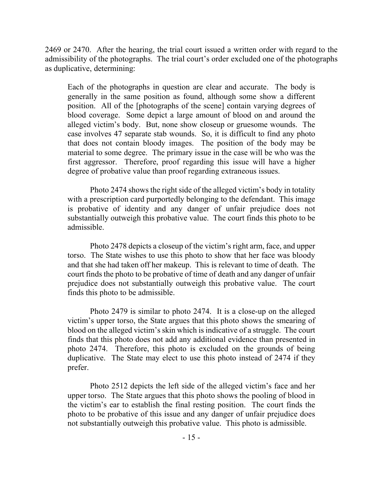2469 or 2470. After the hearing, the trial court issued a written order with regard to the admissibility of the photographs. The trial court's order excluded one of the photographs as duplicative, determining:

Each of the photographs in question are clear and accurate. The body is generally in the same position as found, although some show a different position. All of the [photographs of the scene] contain varying degrees of blood coverage. Some depict a large amount of blood on and around the alleged victim's body. But, none show closeup or gruesome wounds. The case involves 47 separate stab wounds. So, it is difficult to find any photo that does not contain bloody images. The position of the body may be material to some degree. The primary issue in the case will be who was the first aggressor. Therefore, proof regarding this issue will have a higher degree of probative value than proof regarding extraneous issues.

Photo 2474 shows the right side of the alleged victim's body in totality with a prescription card purportedly belonging to the defendant. This image is probative of identity and any danger of unfair prejudice does not substantially outweigh this probative value. The court finds this photo to be admissible.

Photo 2478 depicts a closeup of the victim's right arm, face, and upper torso. The State wishes to use this photo to show that her face was bloody and that she had taken off her makeup. This is relevant to time of death. The court finds the photo to be probative of time of death and any danger of unfair prejudice does not substantially outweigh this probative value. The court finds this photo to be admissible.

Photo 2479 is similar to photo 2474. It is a close-up on the alleged victim's upper torso, the State argues that this photo shows the smearing of blood on the alleged victim's skin which is indicative of a struggle. The court finds that this photo does not add any additional evidence than presented in photo 2474. Therefore, this photo is excluded on the grounds of being duplicative. The State may elect to use this photo instead of 2474 if they prefer.

Photo 2512 depicts the left side of the alleged victim's face and her upper torso. The State argues that this photo shows the pooling of blood in the victim's ear to establish the final resting position. The court finds the photo to be probative of this issue and any danger of unfair prejudice does not substantially outweigh this probative value. This photo is admissible.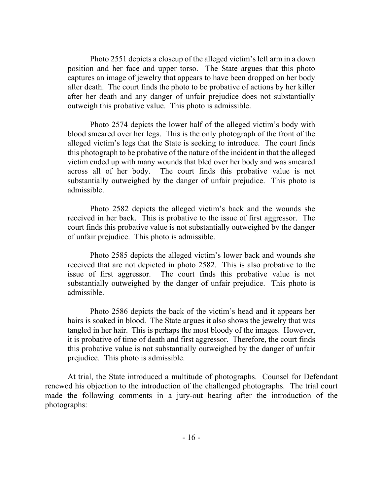Photo 2551 depicts a closeup of the alleged victim's left arm in a down position and her face and upper torso. The State argues that this photo captures an image of jewelry that appears to have been dropped on her body after death. The court finds the photo to be probative of actions by her killer after her death and any danger of unfair prejudice does not substantially outweigh this probative value. This photo is admissible.

Photo 2574 depicts the lower half of the alleged victim's body with blood smeared over her legs. This is the only photograph of the front of the alleged victim's legs that the State is seeking to introduce. The court finds this photograph to be probative of the nature of the incident in that the alleged victim ended up with many wounds that bled over her body and was smeared across all of her body. The court finds this probative value is not substantially outweighed by the danger of unfair prejudice. This photo is admissible.

Photo 2582 depicts the alleged victim's back and the wounds she received in her back. This is probative to the issue of first aggressor. The court finds this probative value is not substantially outweighed by the danger of unfair prejudice. This photo is admissible.

Photo 2585 depicts the alleged victim's lower back and wounds she received that are not depicted in photo 2582. This is also probative to the issue of first aggressor. The court finds this probative value is not substantially outweighed by the danger of unfair prejudice. This photo is admissible.

Photo 2586 depicts the back of the victim's head and it appears her hairs is soaked in blood. The State argues it also shows the jewelry that was tangled in her hair. This is perhaps the most bloody of the images. However, it is probative of time of death and first aggressor. Therefore, the court finds this probative value is not substantially outweighed by the danger of unfair prejudice. This photo is admissible.

At trial, the State introduced a multitude of photographs. Counsel for Defendant renewed his objection to the introduction of the challenged photographs. The trial court made the following comments in a jury-out hearing after the introduction of the photographs: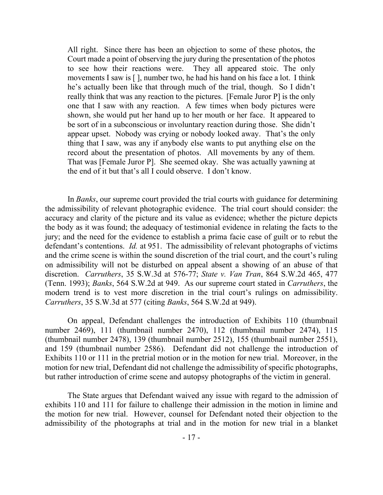All right. Since there has been an objection to some of these photos, the Court made a point of observing the jury during the presentation of the photos to see how their reactions were. They all appeared stoic. The only movements I saw is [ ], number two, he had his hand on his face a lot. I think he's actually been like that through much of the trial, though. So I didn't really think that was any reaction to the pictures. [Female Juror P] is the only one that I saw with any reaction. A few times when body pictures were shown, she would put her hand up to her mouth or her face. It appeared to be sort of in a subconscious or involuntary reaction during those. She didn't appear upset. Nobody was crying or nobody looked away. That's the only thing that I saw, was any if anybody else wants to put anything else on the record about the presentation of photos. All movements by any of them. That was [Female Juror P]. She seemed okay. She was actually yawning at the end of it but that's all I could observe. I don't know.

In *Banks*, our supreme court provided the trial courts with guidance for determining the admissibility of relevant photographic evidence. The trial court should consider: the accuracy and clarity of the picture and its value as evidence; whether the picture depicts the body as it was found; the adequacy of testimonial evidence in relating the facts to the jury; and the need for the evidence to establish a prima facie case of guilt or to rebut the defendant's contentions. *Id.* at 951. The admissibility of relevant photographs of victims and the crime scene is within the sound discretion of the trial court, and the court's ruling on admissibility will not be disturbed on appeal absent a showing of an abuse of that discretion. *Carruthers*, 35 S.W.3d at 576-77; *State v. Van Tran*, 864 S.W.2d 465, 477 (Tenn. 1993); *Banks*, 564 S.W.2d at 949. As our supreme court stated in *Carruthers*, the modern trend is to vest more discretion in the trial court's rulings on admissibility. *Carruthers*, 35 S.W.3d at 577 (citing *Banks*, 564 S.W.2d at 949).

On appeal, Defendant challenges the introduction of Exhibits 110 (thumbnail number 2469), 111 (thumbnail number 2470), 112 (thumbnail number 2474), 115 (thumbnail number 2478), 139 (thumbnail number 2512), 155 (thumbnail number 2551), and 159 (thumbnail number 2586). Defendant did not challenge the introduction of Exhibits 110 or 111 in the pretrial motion or in the motion for new trial. Moreover, in the motion for new trial, Defendant did not challenge the admissibility of specific photographs, but rather introduction of crime scene and autopsy photographs of the victim in general.

The State argues that Defendant waived any issue with regard to the admission of exhibits 110 and 111 for failure to challenge their admission in the motion in limine and the motion for new trial. However, counsel for Defendant noted their objection to the admissibility of the photographs at trial and in the motion for new trial in a blanket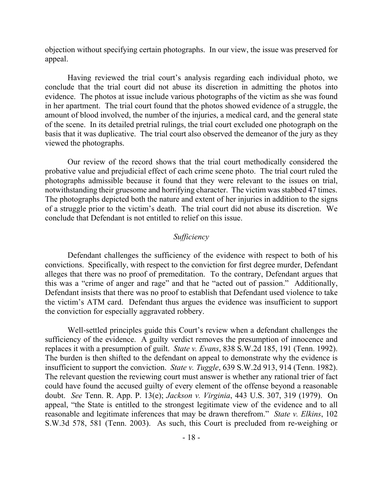objection without specifying certain photographs. In our view, the issue was preserved for appeal.

Having reviewed the trial court's analysis regarding each individual photo, we conclude that the trial court did not abuse its discretion in admitting the photos into evidence. The photos at issue include various photographs of the victim as she was found in her apartment. The trial court found that the photos showed evidence of a struggle, the amount of blood involved, the number of the injuries, a medical card, and the general state of the scene. In its detailed pretrial rulings, the trial court excluded one photograph on the basis that it was duplicative. The trial court also observed the demeanor of the jury as they viewed the photographs.

Our review of the record shows that the trial court methodically considered the probative value and prejudicial effect of each crime scene photo. The trial court ruled the photographs admissible because it found that they were relevant to the issues on trial, notwithstanding their gruesome and horrifying character. The victim was stabbed 47 times. The photographs depicted both the nature and extent of her injuries in addition to the signs of a struggle prior to the victim's death. The trial court did not abuse its discretion. We conclude that Defendant is not entitled to relief on this issue.

### *Sufficiency*

Defendant challenges the sufficiency of the evidence with respect to both of his convictions. Specifically, with respect to the conviction for first degree murder, Defendant alleges that there was no proof of premeditation. To the contrary, Defendant argues that this was a "crime of anger and rage" and that he "acted out of passion." Additionally, Defendant insists that there was no proof to establish that Defendant used violence to take the victim's ATM card. Defendant thus argues the evidence was insufficient to support the conviction for especially aggravated robbery.

Well-settled principles guide this Court's review when a defendant challenges the sufficiency of the evidence. A guilty verdict removes the presumption of innocence and replaces it with a presumption of guilt. *State v. Evans*, 838 S.W.2d 185, 191 (Tenn. 1992). The burden is then shifted to the defendant on appeal to demonstrate why the evidence is insufficient to support the conviction. *State v. Tuggle*, 639 S.W.2d 913, 914 (Tenn. 1982). The relevant question the reviewing court must answer is whether any rational trier of fact could have found the accused guilty of every element of the offense beyond a reasonable doubt. *See* Tenn. R. App. P. 13(e); *Jackson v. Virginia*, 443 U.S. 307, 319 (1979). On appeal, "the State is entitled to the strongest legitimate view of the evidence and to all reasonable and legitimate inferences that may be drawn therefrom." *State v. Elkins*, 102 S.W.3d 578, 581 (Tenn. 2003). As such, this Court is precluded from re-weighing or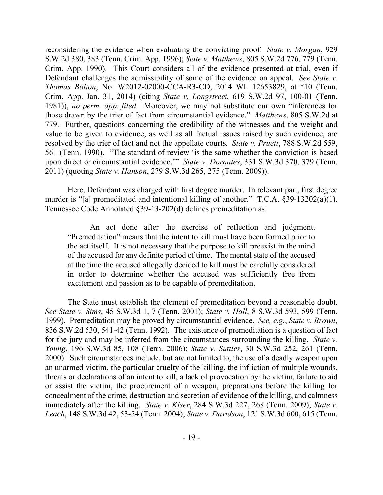reconsidering the evidence when evaluating the convicting proof. *State v. Morgan*, 929 S.W.2d 380, 383 (Tenn. Crim. App. 1996); *State v. Matthews*, 805 S.W.2d 776, 779 (Tenn. Crim. App. 1990). This Court considers all of the evidence presented at trial, even if Defendant challenges the admissibility of some of the evidence on appeal. *See State v. Thomas Bolton*, No. W2012-02000-CCA-R3-CD, 2014 WL 12653829, at \*10 (Tenn. Crim. App. Jan. 31, 2014) (citing *State v. Longstreet*, 619 S.W.2d 97, 100-01 (Tenn. 1981)), *no perm. app. filed*. Moreover, we may not substitute our own "inferences for those drawn by the trier of fact from circumstantial evidence." *Matthews*, 805 S.W.2d at 779. Further, questions concerning the credibility of the witnesses and the weight and value to be given to evidence, as well as all factual issues raised by such evidence, are resolved by the trier of fact and not the appellate courts. *State v. Pruett*, 788 S.W.2d 559, 561 (Tenn. 1990). "The standard of review 'is the same whether the conviction is based upon direct or circumstantial evidence.'" *State v. Dorantes*, 331 S.W.3d 370, 379 (Tenn. 2011) (quoting *State v. Hanson*, 279 S.W.3d 265, 275 (Tenn. 2009)).

Here, Defendant was charged with first degree murder. In relevant part, first degree murder is "[a] premeditated and intentional killing of another." T.C.A. §39-13202(a)(1). Tennessee Code Annotated §39-13-202(d) defines premeditation as:

An act done after the exercise of reflection and judgment. "Premeditation" means that the intent to kill must have been formed prior to the act itself. It is not necessary that the purpose to kill preexist in the mind of the accused for any definite period of time. The mental state of the accused at the time the accused allegedly decided to kill must be carefully considered in order to determine whether the accused was sufficiently free from excitement and passion as to be capable of premeditation.

The State must establish the element of premeditation beyond a reasonable doubt. *See State v. Sims*, 45 S.W.3d 1, 7 (Tenn. 2001); *State v. Hall*, 8 S.W.3d 593, 599 (Tenn. 1999). Premeditation may be proved by circumstantial evidence. *See, e.g.*, *State v. Brown*, 836 S.W.2d 530, 541-42 (Tenn. 1992). The existence of premeditation is a question of fact for the jury and may be inferred from the circumstances surrounding the killing. *State v. Young*, 196 S.W.3d 85, 108 (Tenn. 2006); *State v. Suttles*, 30 S.W.3d 252, 261 (Tenn. 2000). Such circumstances include, but are not limited to, the use of a deadly weapon upon an unarmed victim, the particular cruelty of the killing, the infliction of multiple wounds, threats or declarations of an intent to kill, a lack of provocation by the victim, failure to aid or assist the victim, the procurement of a weapon, preparations before the killing for concealment of the crime, destruction and secretion of evidence of the killing, and calmness immediately after the killing. *State v. Kiser*, 284 S.W.3d 227, 268 (Tenn. 2009); *State v. Leach*, 148 S.W.3d 42, 53-54 (Tenn. 2004); *State v. Davidson*, 121 S.W.3d 600, 615 (Tenn.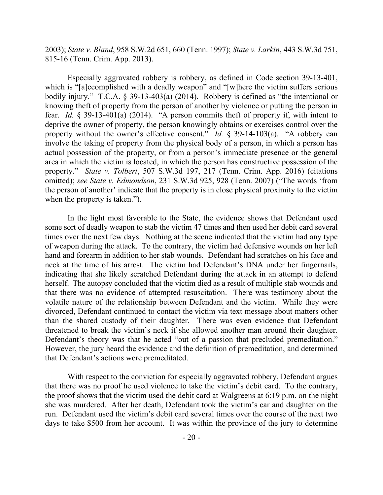2003); *State v. Bland*, 958 S.W.2d 651, 660 (Tenn. 1997); *State v. Larkin*, 443 S.W.3d 751, 815-16 (Tenn. Crim. App. 2013).

Especially aggravated robbery is robbery, as defined in Code section 39-13-401, which is "[a]ccomplished with a deadly weapon" and "[w]here the victim suffers serious bodily injury." T.C.A. § 39-13-403(a) (2014). Robbery is defined as "the intentional or knowing theft of property from the person of another by violence or putting the person in fear. *Id.* § 39-13-401(a) (2014). "A person commits theft of property if, with intent to deprive the owner of property, the person knowingly obtains or exercises control over the property without the owner's effective consent." *Id.* § 39-14-103(a). "A robbery can involve the taking of property from the physical body of a person, in which a person has actual possession of the property, or from a person's immediate presence or the general area in which the victim is located, in which the person has constructive possession of the property." *State v. Tolbert*, 507 S.W.3d 197, 217 (Tenn. Crim. App. 2016) (citations omitted); *see State v. Edmondson*, 231 S.W.3d 925, 928 (Tenn. 2007) ("The words 'from the person of another' indicate that the property is in close physical proximity to the victim when the property is taken.").

In the light most favorable to the State, the evidence shows that Defendant used some sort of deadly weapon to stab the victim 47 times and then used her debit card several times over the next few days. Nothing at the scene indicated that the victim had any type of weapon during the attack. To the contrary, the victim had defensive wounds on her left hand and forearm in addition to her stab wounds. Defendant had scratches on his face and neck at the time of his arrest. The victim had Defendant's DNA under her fingernails, indicating that she likely scratched Defendant during the attack in an attempt to defend herself. The autopsy concluded that the victim died as a result of multiple stab wounds and that there was no evidence of attempted resuscitation. There was testimony about the volatile nature of the relationship between Defendant and the victim. While they were divorced, Defendant continued to contact the victim via text message about matters other than the shared custody of their daughter. There was even evidence that Defendant threatened to break the victim's neck if she allowed another man around their daughter. Defendant's theory was that he acted "out of a passion that precluded premeditation." However, the jury heard the evidence and the definition of premeditation, and determined that Defendant's actions were premeditated.

With respect to the conviction for especially aggravated robbery, Defendant argues that there was no proof he used violence to take the victim's debit card. To the contrary, the proof shows that the victim used the debit card at Walgreens at 6:19 p.m. on the night she was murdered. After her death, Defendant took the victim's car and daughter on the run. Defendant used the victim's debit card several times over the course of the next two days to take \$500 from her account. It was within the province of the jury to determine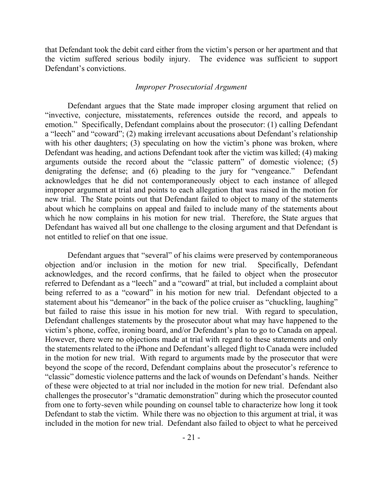that Defendant took the debit card either from the victim's person or her apartment and that the victim suffered serious bodily injury. The evidence was sufficient to support Defendant's convictions.

### *Improper Prosecutorial Argument*

Defendant argues that the State made improper closing argument that relied on "invective, conjecture, misstatements, references outside the record, and appeals to emotion." Specifically, Defendant complains about the prosecutor: (1) calling Defendant a "leech" and "coward"; (2) making irrelevant accusations about Defendant's relationship with his other daughters; (3) speculating on how the victim's phone was broken, where Defendant was heading, and actions Defendant took after the victim was killed; (4) making arguments outside the record about the "classic pattern" of domestic violence; (5) denigrating the defense; and (6) pleading to the jury for "vengeance." Defendant acknowledges that he did not contemporaneously object to each instance of alleged improper argument at trial and points to each allegation that was raised in the motion for new trial. The State points out that Defendant failed to object to many of the statements about which he complains on appeal and failed to include many of the statements about which he now complains in his motion for new trial. Therefore, the State argues that Defendant has waived all but one challenge to the closing argument and that Defendant is not entitled to relief on that one issue.

Defendant argues that "several" of his claims were preserved by contemporaneous objection and/or inclusion in the motion for new trial. Specifically, Defendant acknowledges, and the record confirms, that he failed to object when the prosecutor referred to Defendant as a "leech" and a "coward" at trial, but included a complaint about being referred to as a "coward" in his motion for new trial. Defendant objected to a statement about his "demeanor" in the back of the police cruiser as "chuckling, laughing" but failed to raise this issue in his motion for new trial. With regard to speculation, Defendant challenges statements by the prosecutor about what may have happened to the victim's phone, coffee, ironing board, and/or Defendant's plan to go to Canada on appeal. However, there were no objections made at trial with regard to these statements and only the statements related to the iPhone and Defendant's alleged flight to Canada were included in the motion for new trial. With regard to arguments made by the prosecutor that were beyond the scope of the record, Defendant complains about the prosecutor's reference to "classic" domestic violence patterns and the lack of wounds on Defendant's hands. Neither of these were objected to at trial nor included in the motion for new trial. Defendant also challenges the prosecutor's "dramatic demonstration" during which the prosecutor counted from one to forty-seven while pounding on counsel table to characterize how long it took Defendant to stab the victim. While there was no objection to this argument at trial, it was included in the motion for new trial. Defendant also failed to object to what he perceived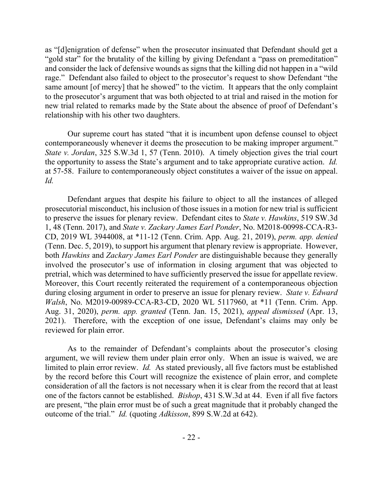as "[d]enigration of defense" when the prosecutor insinuated that Defendant should get a "gold star" for the brutality of the killing by giving Defendant a "pass on premeditation" and consider the lack of defensive wounds as signs that the killing did not happen in a "wild rage." Defendant also failed to object to the prosecutor's request to show Defendant "the same amount [of mercy] that he showed" to the victim. It appears that the only complaint to the prosecutor's argument that was both objected to at trial and raised in the motion for new trial related to remarks made by the State about the absence of proof of Defendant's relationship with his other two daughters.

Our supreme court has stated "that it is incumbent upon defense counsel to object contemporaneously whenever it deems the prosecution to be making improper argument." *State v. Jordan*, 325 S.W.3d 1, 57 (Tenn. 2010). A timely objection gives the trial court the opportunity to assess the State's argument and to take appropriate curative action. *Id.*  at 57-58. Failure to contemporaneously object constitutes a waiver of the issue on appeal. *Id.*

Defendant argues that despite his failure to object to all the instances of alleged prosecutorial misconduct, his inclusion of those issues in a motion for new trial is sufficient to preserve the issues for plenary review. Defendant cites to *State v. Hawkins*, 519 SW.3d 1, 48 (Tenn. 2017), and *State v. Zackary James Earl Ponder*, No. M2018-00998-CCA-R3- CD, 2019 WL 3944008, at \*11-12 (Tenn. Crim. App. Aug. 21, 2019), *perm. app. denied* (Tenn. Dec. 5, 2019), to support his argument that plenary review is appropriate. However, both *Hawkins* and *Zackary James Earl Ponder* are distinguishable because they generally involved the prosecutor's use of information in closing argument that was objected to pretrial, which was determined to have sufficiently preserved the issue for appellate review. Moreover, this Court recently reiterated the requirement of a contemporaneous objection during closing argument in order to preserve an issue for plenary review. *State v. Edward Walsh*, No. M2019-00989-CCA-R3-CD, 2020 WL 5117960, at \*11 (Tenn. Crim. App. Aug. 31, 2020), *perm. app. granted* (Tenn. Jan. 15, 2021), *appeal dismissed* (Apr. 13, 2021). Therefore, with the exception of one issue, Defendant's claims may only be reviewed for plain error.

As to the remainder of Defendant's complaints about the prosecutor's closing argument, we will review them under plain error only. When an issue is waived, we are limited to plain error review. *Id.* As stated previously, all five factors must be established by the record before this Court will recognize the existence of plain error, and complete consideration of all the factors is not necessary when it is clear from the record that at least one of the factors cannot be established. *Bishop*, 431 S.W.3d at 44. Even if all five factors are present, "the plain error must be of such a great magnitude that it probably changed the outcome of the trial." *Id.* (quoting *Adkisson*, 899 S.W.2d at 642).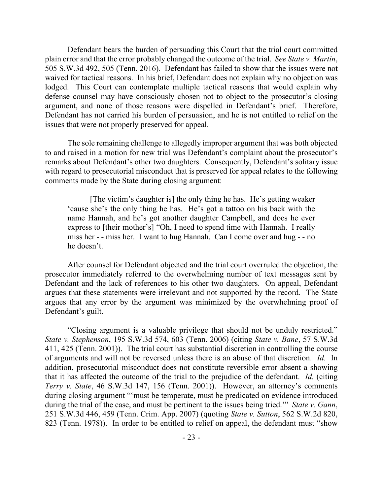Defendant bears the burden of persuading this Court that the trial court committed plain error and that the error probably changed the outcome of the trial. *See State v. Martin*, 505 S.W.3d 492, 505 (Tenn. 2016). Defendant has failed to show that the issues were not waived for tactical reasons. In his brief, Defendant does not explain why no objection was lodged. This Court can contemplate multiple tactical reasons that would explain why defense counsel may have consciously chosen not to object to the prosecutor's closing argument, and none of those reasons were dispelled in Defendant's brief. Therefore, Defendant has not carried his burden of persuasion, and he is not entitled to relief on the issues that were not properly preserved for appeal.

The sole remaining challenge to allegedly improper argument that was both objected to and raised in a motion for new trial was Defendant's complaint about the prosecutor's remarks about Defendant's other two daughters. Consequently, Defendant's solitary issue with regard to prosecutorial misconduct that is preserved for appeal relates to the following comments made by the State during closing argument:

[The victim's daughter is] the only thing he has. He's getting weaker 'cause she's the only thing he has. He's got a tattoo on his back with the name Hannah, and he's got another daughter Campbell, and does he ever express to [their mother's] "Oh, I need to spend time with Hannah. I really miss her - - miss her. I want to hug Hannah. Can I come over and hug - - no he doesn't.

After counsel for Defendant objected and the trial court overruled the objection, the prosecutor immediately referred to the overwhelming number of text messages sent by Defendant and the lack of references to his other two daughters. On appeal, Defendant argues that these statements were irrelevant and not supported by the record. The State argues that any error by the argument was minimized by the overwhelming proof of Defendant's guilt.

"Closing argument is a valuable privilege that should not be unduly restricted." *State v. Stephenson*, 195 S.W.3d 574, 603 (Tenn. 2006) (citing *State v. Bane*, 57 S.W.3d 411, 425 (Tenn. 2001)). The trial court has substantial discretion in controlling the course of arguments and will not be reversed unless there is an abuse of that discretion. *Id.* In addition, prosecutorial misconduct does not constitute reversible error absent a showing that it has affected the outcome of the trial to the prejudice of the defendant. *Id.* (citing *Terry v. State*, 46 S.W.3d 147, 156 (Tenn. 2001)). However, an attorney's comments during closing argument "'must be temperate, must be predicated on evidence introduced during the trial of the case, and must be pertinent to the issues being tried.'" *State v. Gann*, 251 S.W.3d 446, 459 (Tenn. Crim. App. 2007) (quoting *State v. Sutton*, 562 S.W.2d 820, 823 (Tenn. 1978)). In order to be entitled to relief on appeal, the defendant must "show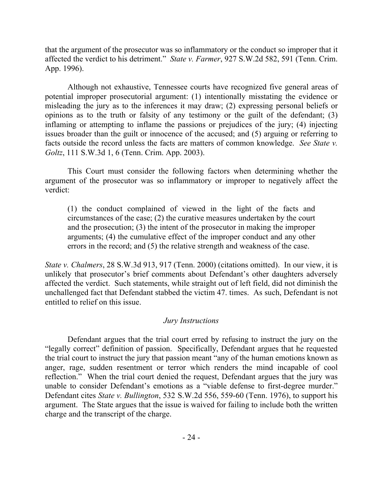that the argument of the prosecutor was so inflammatory or the conduct so improper that it affected the verdict to his detriment." *State v. Farmer*, 927 S.W.2d 582, 591 (Tenn. Crim. App. 1996).

Although not exhaustive, Tennessee courts have recognized five general areas of potential improper prosecutorial argument: (1) intentionally misstating the evidence or misleading the jury as to the inferences it may draw; (2) expressing personal beliefs or opinions as to the truth or falsity of any testimony or the guilt of the defendant; (3) inflaming or attempting to inflame the passions or prejudices of the jury; (4) injecting issues broader than the guilt or innocence of the accused; and (5) arguing or referring to facts outside the record unless the facts are matters of common knowledge. *See State v. Goltz*, 111 S.W.3d 1, 6 (Tenn. Crim. App. 2003).

This Court must consider the following factors when determining whether the argument of the prosecutor was so inflammatory or improper to negatively affect the verdict:

(1) the conduct complained of viewed in the light of the facts and circumstances of the case; (2) the curative measures undertaken by the court and the prosecution; (3) the intent of the prosecutor in making the improper arguments; (4) the cumulative effect of the improper conduct and any other errors in the record; and (5) the relative strength and weakness of the case.

*State v. Chalmers*, 28 S.W.3d 913, 917 (Tenn. 2000) (citations omitted). In our view, it is unlikely that prosecutor's brief comments about Defendant's other daughters adversely affected the verdict. Such statements, while straight out of left field, did not diminish the unchallenged fact that Defendant stabbed the victim 47. times. As such, Defendant is not entitled to relief on this issue.

# *Jury Instructions*

Defendant argues that the trial court erred by refusing to instruct the jury on the "legally correct" definition of passion. Specifically, Defendant argues that he requested the trial court to instruct the jury that passion meant "any of the human emotions known as anger, rage, sudden resentment or terror which renders the mind incapable of cool reflection." When the trial court denied the request, Defendant argues that the jury was unable to consider Defendant's emotions as a "viable defense to first-degree murder." Defendant cites *State v. Bullington*, 532 S.W.2d 556, 559-60 (Tenn. 1976), to support his argument. The State argues that the issue is waived for failing to include both the written charge and the transcript of the charge.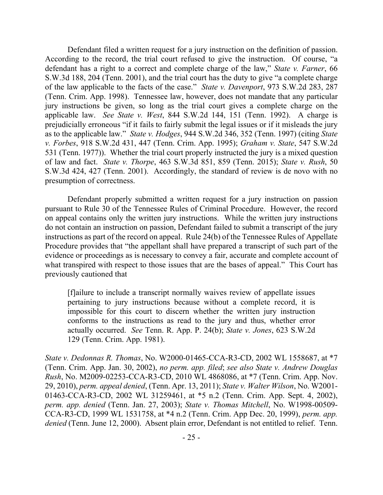Defendant filed a written request for a jury instruction on the definition of passion. According to the record, the trial court refused to give the instruction. Of course, "a defendant has a right to a correct and complete charge of the law," *State v. Farner*, 66 S.W.3d 188, 204 (Tenn. 2001), and the trial court has the duty to give "a complete charge of the law applicable to the facts of the case." *State v. Davenport*, 973 S.W.2d 283, 287 (Tenn. Crim. App. 1998). Tennessee law, however, does not mandate that any particular jury instructions be given, so long as the trial court gives a complete charge on the applicable law. *See State v. West*, 844 S.W.2d 144, 151 (Tenn. 1992). A charge is prejudicially erroneous "if it fails to fairly submit the legal issues or if it misleads the jury as to the applicable law." *State v. Hodges*, 944 S.W.2d 346, 352 (Tenn. 1997) (citing *State v. Forbes*, 918 S.W.2d 431, 447 (Tenn. Crim. App. 1995); *Graham v. State*, 547 S.W.2d 531 (Tenn. 1977)). Whether the trial court properly instructed the jury is a mixed question of law and fact. *State v. Thorpe*, 463 S.W.3d 851, 859 (Tenn. 2015); *State v. Rush*, 50 S.W.3d 424, 427 (Tenn. 2001). Accordingly, the standard of review is de novo with no presumption of correctness.

Defendant properly submitted a written request for a jury instruction on passion pursuant to Rule 30 of the Tennessee Rules of Criminal Procedure. However, the record on appeal contains only the written jury instructions. While the written jury instructions do not contain an instruction on passion, Defendant failed to submit a transcript of the jury instructions as part of the record on appeal. Rule 24(b) of the Tennessee Rules of Appellate Procedure provides that "the appellant shall have prepared a transcript of such part of the evidence or proceedings as is necessary to convey a fair, accurate and complete account of what transpired with respect to those issues that are the bases of appeal." This Court has previously cautioned that

[f]ailure to include a transcript normally waives review of appellate issues pertaining to jury instructions because without a complete record, it is impossible for this court to discern whether the written jury instruction conforms to the instructions as read to the jury and thus, whether error actually occurred. *See* Tenn. R. App. P. 24(b); *State v. Jones*, 623 S.W.2d 129 (Tenn. Crim. App. 1981).

*State v. Dedonnas R. Thomas*, No. W2000-01465-CCA-R3-CD, 2002 WL 1558687, at \*7 (Tenn. Crim. App. Jan. 30, 2002), *no perm. app. filed*; *see also State v. Andrew Douglas Rush*, No. M2009-02253-CCA-R3-CD, 2010 WL 4868086, at \*7 (Tenn. Crim. App. Nov. 29, 2010), *perm. appeal denied*, (Tenn. Apr. 13, 2011); *State v. Walter Wilson*, No. W2001- 01463-CCA-R3-CD, 2002 WL 31259461, at \*5 n.2 (Tenn. Crim. App. Sept. 4, 2002), *perm. app. denied* (Tenn. Jan. 27, 2003); *State v. Thomas Mitchell*, No. W1998-00509- CCA-R3-CD, 1999 WL 1531758, at \*4 n.2 (Tenn. Crim. App Dec. 20, 1999), *perm. app. denied* (Tenn. June 12, 2000). Absent plain error, Defendant is not entitled to relief. Tenn.